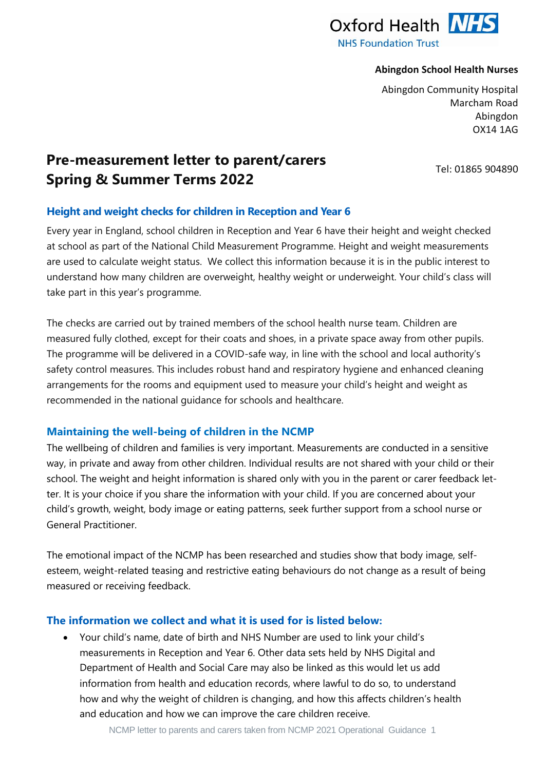

#### **Abingdon School Health Nurses**

Abingdon Community Hospital Marcham Road Abingdon OX14 1AG

Tel: 01865 904890

# **Pre-measurement letter to parent/carers Spring & Summer Terms 2022**

# **Height and weight checks for children in Reception and Year 6**

Every year in England, school children in Reception and Year 6 have their height and weight checked at school as part of the National Child Measurement Programme. Height and weight measurements are used to calculate weight status. We collect this information because it is in the public interest to understand how many children are overweight, healthy weight or underweight. Your child's class will take part in this year's programme.

The checks are carried out by trained members of the school health nurse team. Children are measured fully clothed, except for their coats and shoes, in a private space away from other pupils. The programme will be delivered in a COVID-safe way, in line with the school and local authority's safety control measures. This includes robust hand and respiratory hygiene and enhanced cleaning arrangements for the rooms and equipment used to measure your child's height and weight as recommended in the national guidance for schools and healthcare.

# **Maintaining the well-being of children in the NCMP**

The wellbeing of children and families is very important. Measurements are conducted in a sensitive way, in private and away from other children. Individual results are not shared with your child or their school. The weight and height information is shared only with you in the parent or carer feedback letter. It is your choice if you share the information with your child. If you are concerned about your child's growth, weight, body image or eating patterns, seek further support from a school nurse or General Practitioner.

The emotional impact of the NCMP has been researched and studies show that body image, selfesteem, weight-related teasing and restrictive eating behaviours do not change as a result of being measured or receiving feedback.

## **The information we collect and what it is used for is listed below:**

 Your child's name, date of birth and NHS Number are used to link your child's measurements in Reception and Year 6. Other data sets held by NHS Digital and Department of Health and Social Care may also be linked as this would let us add information from health and education records, where lawful to do so, to understand how and why the weight of children is changing, and how this affects children's health and education and how we can improve the care children receive.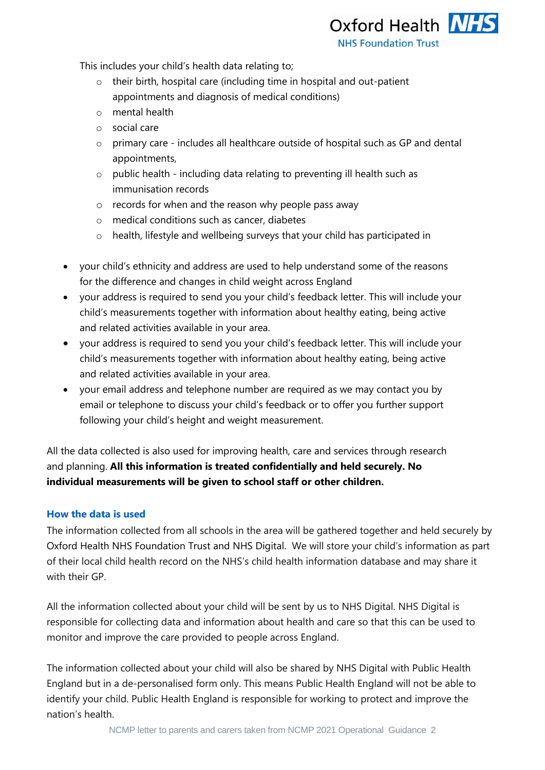Oxford Health NHS **NHS Foundation Trust** 

This includes your child's health data relating to;

- o their birth, hospital care (including time in hospital and out-patient appointments and diagnosis of medical conditions)
- o mental health
- o social care
- o primary care includes all healthcare outside of hospital such as GP and dental appointments,
- o public health including data relating to preventing ill health such as immunisation records
- o records for when and the reason why people pass away
- o medical conditions such as cancer, diabetes
- o health, lifestyle and wellbeing surveys that your child has participated in
- your child's ethnicity and address are used to help understand some of the reasons for the difference and changes in child weight across England
- your address is required to send you your child's feedback letter. This will include your child's measurements together with information about healthy eating, being active and related activities available in your area.
- your address is required to send you your child's feedback letter. This will include your child's measurements together with information about healthy eating, being active and related activities available in your area.
- your email address and telephone number are required as we may contact you by email or telephone to discuss your child's feedback or to offer you further support following your child's height and weight measurement.

All the data collected is also used for improving health, care and services through research and planning. **All this information is treated confidentially and held securely. No individual measurements will be given to school staff or other children.**

## **How the data is used**

The information collected from all schools in the area will be gathered together and held securely by Oxford Health NHS Foundation Trust and NHS Digital. We will store your child's information as part of their local child health record on the NHS's child health information database and may share it with their GP

All the information collected about your child will be sent by us to NHS Digital. NHS Digital is responsible for collecting data and information about health and care so that this can be used to monitor and improve the care provided to people across England.

The information collected about your child will also be shared by NHS Digital with Public Health England but in a de-personalised form only. This means Public Health England will not be able to identify your child. Public Health England is responsible for working to protect and improve the nation's health.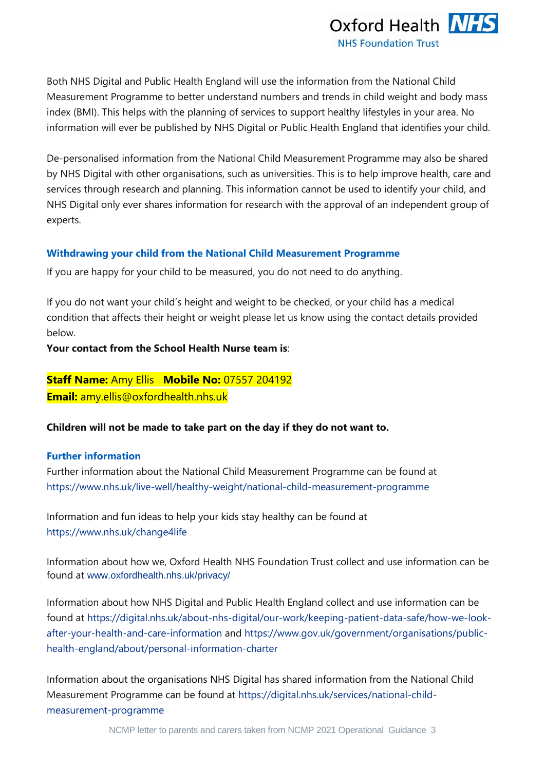

Both NHS Digital and Public Health England will use the information from the National Child Measurement Programme to better understand numbers and trends in child weight and body mass index (BMI). This helps with the planning of services to support healthy lifestyles in your area. No information will ever be published by NHS Digital or Public Health England that identifies your child.

De-personalised information from the National Child Measurement Programme may also be shared by NHS Digital with other organisations, such as universities. This is to help improve health, care and services through research and planning. This information cannot be used to identify your child, and NHS Digital only ever shares information for research with the approval of an independent group of experts.

#### **Withdrawing your child from the National Child Measurement Programme**

If you are happy for your child to be measured, you do not need to do anything.

If you do not want your child's height and weight to be checked, or your child has a medical condition that affects their height or weight please let us know using the contact details provided below.

**Your contact from the School Health Nurse team is**:

**Staff Name:** Amy Ellis **Mobile No:** 07557 204192 **Email:** [amy.ellis@oxfordhealth.nhs.uk](mailto:amy.ellis@oxfordhealth.nhs.uk)

**Children will not be made to take part on the day if they do not want to.** 

#### **Further information**

Further information about the National Child Measurement Programme can be found at [https://www.nhs.uk/live-well/healthy-weight/national-child-measurement-programme](https://www.nhs.uk/live-well/healthy-weight/national-child-measurement-programme/)

Information and fun ideas to help your kids stay healthy can be found at <https://www.nhs.uk/change4life>

Information about how we, Oxford Health NHS Foundation Trust collect and use information can be found at [www.oxfordhealth.nhs.uk/privacy/](https://www.oxfordhealth.nhs.uk/privacy/)

Information about how NHS Digital and Public Health England collect and use information can be found at [https://digital.nhs.uk/about-nhs-digital/our-work/keeping-patient-data-safe/how-we-look](https://digital.nhs.uk/about-nhs-digital/our-work/keeping-patient-data-safe/how-we-look-after-your-health-and-care-information)[after-your-health-and-care-information](https://digital.nhs.uk/about-nhs-digital/our-work/keeping-patient-data-safe/how-we-look-after-your-health-and-care-information) and [https://www.gov.uk/government/organisations/public](https://www.gov.uk/government/organisations/public-health-england/about/personal-information-charter)[health-england/about/personal-information-charter](https://www.gov.uk/government/organisations/public-health-england/about/personal-information-charter)

Information about the organisations NHS Digital has shared information from the National Child Measurement Programme can be found at [https://digital.nhs.uk/services/national-child](https://digital.nhs.uk/services/national-child-measurement-programme/)[measurement-programme](https://digital.nhs.uk/services/national-child-measurement-programme/)